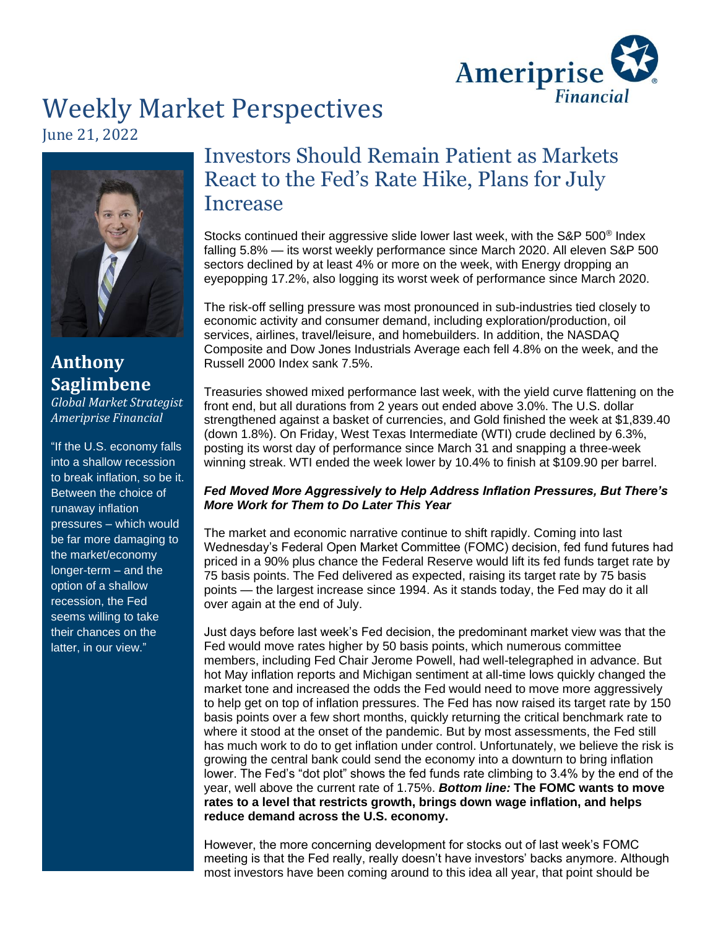

# Weekly Market Perspectives June 21, 2022



## **Anthony Saglimbene**  *Global Market Strategist*

*Ameriprise Financial*

"If the U.S. economy falls into a shallow recession to break inflation, so be it. Between the choice of runaway inflation pressures – which would be far more damaging to the market/economy longer-term – and the option of a shallow recession, the Fed seems willing to take their chances on the latter, in our view."

## Investors Should Remain Patient as Markets React to the Fed's Rate Hike, Plans for July Increase

Stocks continued their aggressive slide lower last week, with the S&P 500<sup>®</sup> Index falling 5.8% — its worst weekly performance since March 2020. All eleven S&P 500 sectors declined by at least 4% or more on the week, with Energy dropping an eyepopping 17.2%, also logging its worst week of performance since March 2020.

The risk-off selling pressure was most pronounced in sub-industries tied closely to economic activity and consumer demand, including exploration/production, oil services, airlines, travel/leisure, and homebuilders. In addition, the NASDAQ Composite and Dow Jones Industrials Average each fell 4.8% on the week, and the Russell 2000 Index sank 7.5%.

Treasuries showed mixed performance last week, with the yield curve flattening on the front end, but all durations from 2 years out ended above 3.0%. The U.S. dollar strengthened against a basket of currencies, and Gold finished the week at \$1,839.40 (down 1.8%). On Friday, West Texas Intermediate (WTI) crude declined by 6.3%, posting its worst day of performance since March 31 and snapping a three-week winning streak. WTI ended the week lower by 10.4% to finish at \$109.90 per barrel.

## *Fed Moved More Aggressively to Help Address Inflation Pressures, But There's More Work for Them to Do Later This Year*

The market and economic narrative continue to shift rapidly. Coming into last Wednesday's Federal Open Market Committee (FOMC) decision, fed fund futures had priced in a 90% plus chance the Federal Reserve would lift its fed funds target rate by 75 basis points. The Fed delivered as expected, raising its target rate by 75 basis points — the largest increase since 1994. As it stands today, the Fed may do it all over again at the end of July.

Just days before last week's Fed decision, the predominant market view was that the Fed would move rates higher by 50 basis points, which numerous committee members, including Fed Chair Jerome Powell, had well-telegraphed in advance. But hot May inflation reports and Michigan sentiment at all-time lows quickly changed the market tone and increased the odds the Fed would need to move more aggressively to help get on top of inflation pressures. The Fed has now raised its target rate by 150 basis points over a few short months, quickly returning the critical benchmark rate to where it stood at the onset of the pandemic. But by most assessments, the Fed still has much work to do to get inflation under control. Unfortunately, we believe the risk is growing the central bank could send the economy into a downturn to bring inflation lower. The Fed's "dot plot" shows the fed funds rate climbing to 3.4% by the end of the year, well above the current rate of 1.75%. *Bottom line:* **The FOMC wants to move rates to a level that restricts growth, brings down wage inflation, and helps reduce demand across the U.S. economy.** 

However, the more concerning development for stocks out of last week's FOMC meeting is that the Fed really, really doesn't have investors' backs anymore. Although most investors have been coming around to this idea all year, that point should be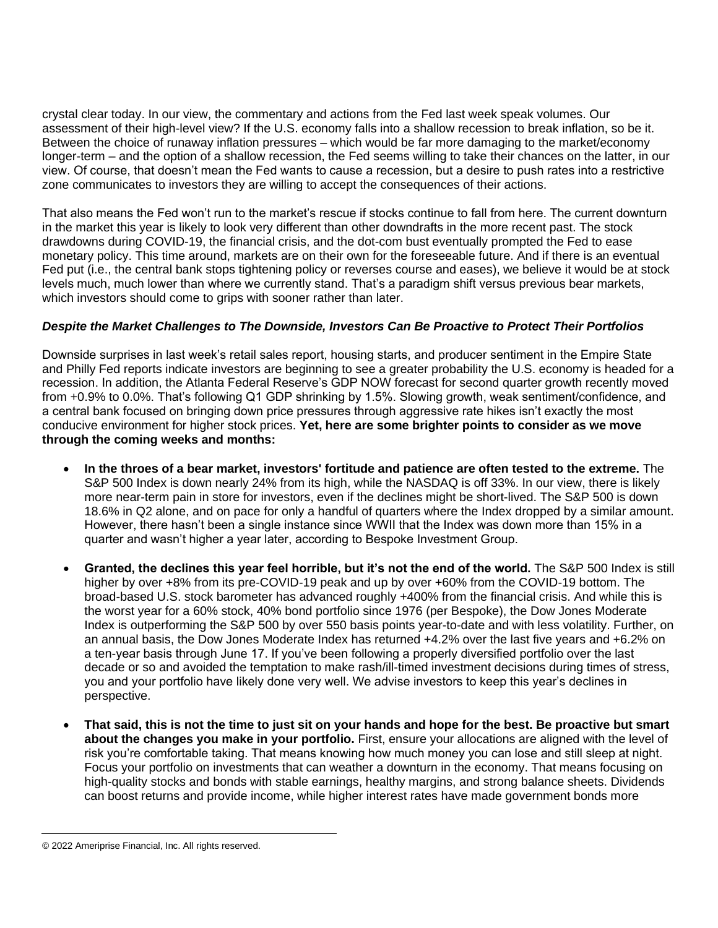crystal clear today. In our view, the commentary and actions from the Fed last week speak volumes. Our assessment of their high-level view? If the U.S. economy falls into a shallow recession to break inflation, so be it. Between the choice of runaway inflation pressures – which would be far more damaging to the market/economy longer-term – and the option of a shallow recession, the Fed seems willing to take their chances on the latter, in our view. Of course, that doesn't mean the Fed wants to cause a recession, but a desire to push rates into a restrictive zone communicates to investors they are willing to accept the consequences of their actions.

That also means the Fed won't run to the market's rescue if stocks continue to fall from here. The current downturn in the market this year is likely to look very different than other downdrafts in the more recent past. The stock drawdowns during COVID-19, the financial crisis, and the dot-com bust eventually prompted the Fed to ease monetary policy. This time around, markets are on their own for the foreseeable future. And if there is an eventual Fed put (i.e., the central bank stops tightening policy or reverses course and eases), we believe it would be at stock levels much, much lower than where we currently stand. That's a paradigm shift versus previous bear markets, which investors should come to grips with sooner rather than later.

## *Despite the Market Challenges to The Downside, Investors Can Be Proactive to Protect Their Portfolios*

Downside surprises in last week's retail sales report, housing starts, and producer sentiment in the Empire State and Philly Fed reports indicate investors are beginning to see a greater probability the U.S. economy is headed for a recession. In addition, the Atlanta Federal Reserve's GDP NOW forecast for second quarter growth recently moved from +0.9% to 0.0%. That's following Q1 GDP shrinking by 1.5%. Slowing growth, weak sentiment/confidence, and a central bank focused on bringing down price pressures through aggressive rate hikes isn't exactly the most conducive environment for higher stock prices. **Yet, here are some brighter points to consider as we move through the coming weeks and months:**

- **In the throes of a bear market, investors' fortitude and patience are often tested to the extreme.** The S&P 500 Index is down nearly 24% from its high, while the NASDAQ is off 33%. In our view, there is likely more near-term pain in store for investors, even if the declines might be short-lived. The S&P 500 is down 18.6% in Q2 alone, and on pace for only a handful of quarters where the Index dropped by a similar amount. However, there hasn't been a single instance since WWII that the Index was down more than 15% in a quarter and wasn't higher a year later, according to Bespoke Investment Group.
- **Granted, the declines this year feel horrible, but it's not the end of the world.** The S&P 500 Index is still higher by over +8% from its pre-COVID-19 peak and up by over +60% from the COVID-19 bottom. The broad-based U.S. stock barometer has advanced roughly +400% from the financial crisis. And while this is the worst year for a 60% stock, 40% bond portfolio since 1976 (per Bespoke), the Dow Jones Moderate Index is outperforming the S&P 500 by over 550 basis points year-to-date and with less volatility. Further, on an annual basis, the Dow Jones Moderate Index has returned +4.2% over the last five years and +6.2% on a ten-year basis through June 17. If you've been following a properly diversified portfolio over the last decade or so and avoided the temptation to make rash/ill-timed investment decisions during times of stress, you and your portfolio have likely done very well. We advise investors to keep this year's declines in perspective.
- **That said, this is not the time to just sit on your hands and hope for the best. Be proactive but smart about the changes you make in your portfolio.** First, ensure your allocations are aligned with the level of risk you're comfortable taking. That means knowing how much money you can lose and still sleep at night. Focus your portfolio on investments that can weather a downturn in the economy. That means focusing on high-quality stocks and bonds with stable earnings, healthy margins, and strong balance sheets. Dividends can boost returns and provide income, while higher interest rates have made government bonds more

<sup>© 2022</sup> Ameriprise Financial, Inc. All rights reserved.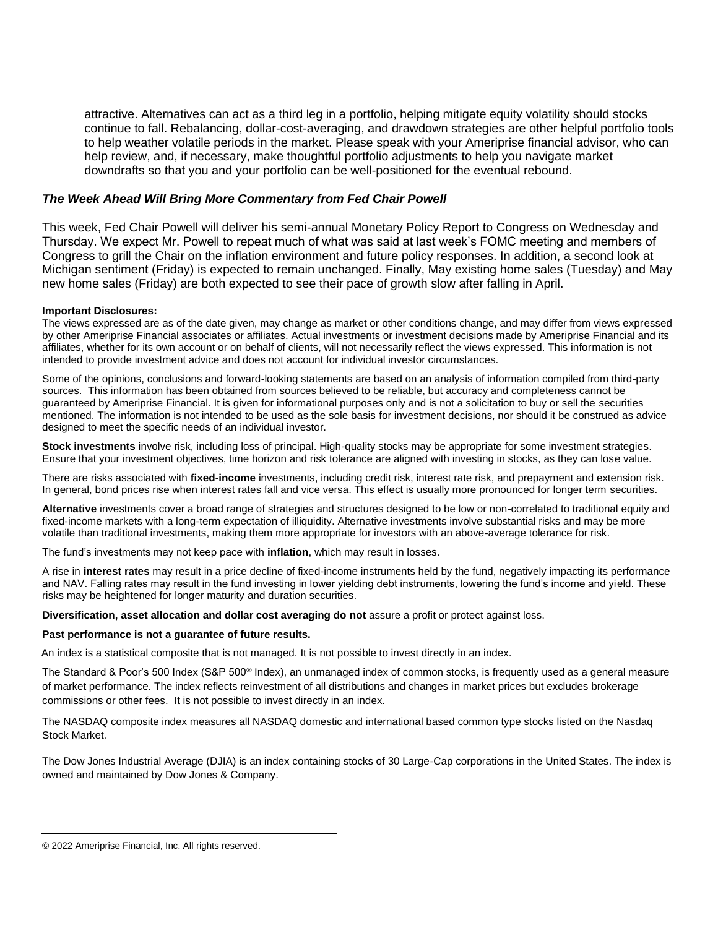attractive. Alternatives can act as a third leg in a portfolio, helping mitigate equity volatility should stocks continue to fall. Rebalancing, dollar-cost-averaging, and drawdown strategies are other helpful portfolio tools to help weather volatile periods in the market. Please speak with your Ameriprise financial advisor, who can help review, and, if necessary, make thoughtful portfolio adjustments to help you navigate market downdrafts so that you and your portfolio can be well-positioned for the eventual rebound.

### *The Week Ahead Will Bring More Commentary from Fed Chair Powell*

This week, Fed Chair Powell will deliver his semi-annual Monetary Policy Report to Congress on Wednesday and Thursday. We expect Mr. Powell to repeat much of what was said at last week's FOMC meeting and members of Congress to grill the Chair on the inflation environment and future policy responses. In addition, a second look at Michigan sentiment (Friday) is expected to remain unchanged. Finally, May existing home sales (Tuesday) and May new home sales (Friday) are both expected to see their pace of growth slow after falling in April.

### **Important Disclosures:**

The views expressed are as of the date given, may change as market or other conditions change, and may differ from views expressed by other Ameriprise Financial associates or affiliates. Actual investments or investment decisions made by Ameriprise Financial and its affiliates, whether for its own account or on behalf of clients, will not necessarily reflect the views expressed. This information is not intended to provide investment advice and does not account for individual investor circumstances.

Some of the opinions, conclusions and forward-looking statements are based on an analysis of information compiled from third-party sources. This information has been obtained from sources believed to be reliable, but accuracy and completeness cannot be guaranteed by Ameriprise Financial. It is given for informational purposes only and is not a solicitation to buy or sell the securities mentioned. The information is not intended to be used as the sole basis for investment decisions, nor should it be construed as advice designed to meet the specific needs of an individual investor.

**Stock investments** involve risk, including loss of principal. High-quality stocks may be appropriate for some investment strategies. Ensure that your investment objectives, time horizon and risk tolerance are aligned with investing in stocks, as they can lose value.

There are risks associated with **fixed-income** investments, including credit risk, interest rate risk, and prepayment and extension risk. In general, bond prices rise when interest rates fall and vice versa. This effect is usually more pronounced for longer term securities.

**Alternative** investments cover a broad range of strategies and structures designed to be low or non-correlated to traditional equity and fixed-income markets with a long-term expectation of illiquidity. Alternative investments involve substantial risks and may be more volatile than traditional investments, making them more appropriate for investors with an above-average tolerance for risk.

The fund's investments may not keep pace with **inflation**, which may result in losses.

A rise in **interest rates** may result in a price decline of fixed-income instruments held by the fund, negatively impacting its performance and NAV. Falling rates may result in the fund investing in lower yielding debt instruments, lowering the fund's income and yield. These risks may be heightened for longer maturity and duration securities.

**Diversification, asset allocation and dollar cost averaging do not** assure a profit or protect against loss.

### **Past performance is not a guarantee of future results.**

An index is a statistical composite that is not managed. It is not possible to invest directly in an index.

The Standard & Poor's 500 Index (S&P 500® Index), an unmanaged index of common stocks, is frequently used as a general measure of market performance. The index reflects reinvestment of all distributions and changes in market prices but excludes brokerage commissions or other fees. It is not possible to invest directly in an index.

The NASDAQ composite index measures all NASDAQ domestic and international based common type stocks listed on the Nasdaq Stock Market.

The Dow Jones Industrial Average (DJIA) is an index containing stocks of 30 Large-Cap corporations in the United States. The index is owned and maintained by Dow Jones & Company.

<sup>© 2022</sup> Ameriprise Financial, Inc. All rights reserved.